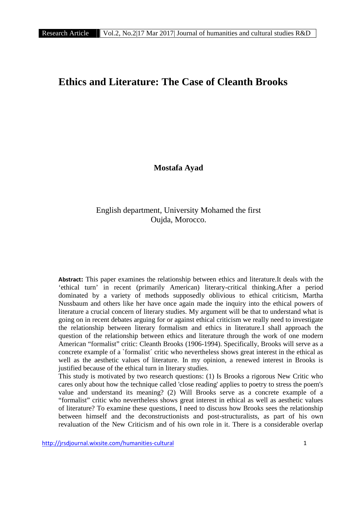## **Ethics and Literature: The Case of Cleanth Brooks**

**Mostafa Ayad**

## English department, University Mohamed the first Oujda, Morocco.

**Abstract:** This paper examines the relationship between ethics and literature.It deals with the 'ethical turn' in recent (primarily American) literary-critical thinking.After a period dominated by a variety of methods supposedly oblivious to ethical criticism, Martha Nussbaum and others like her have once again made the inquiry into the ethical powers of literature a crucial concern of literary studies. My argument will be that to understand what is going on in recent debates arguing for or against ethical criticism we really need to investigate the relationship between literary formalism and ethics in literature.I shall approach the question of the relationship between ethics and literature through the work of one modern American "formalist" critic: Cleanth Brooks (1906-1994). Specifically, Brooks will serve as a concrete example of a `formalist´ critic who nevertheless shows great interest in the ethical as well as the aesthetic values of literature. In my opinion, a renewed interest in Brooks is justified because of the ethical turn in literary studies.

This study is motivated by two research questions: (1) Is Brooks a rigorous New Critic who cares only about how the technique called 'close reading' applies to poetry to stress the poem's value and understand its meaning? (2) Will Brooks serve as a concrete example of a "formalist" critic who nevertheless shows great interest in ethical as well as aesthetic values of literature? To examine these questions, I need to discuss how Brooks sees the relationship between himself and the deconstructionists and post-structuralists, as part of his own revaluation of the New Criticism and of his own role in it. There is a considerable overlap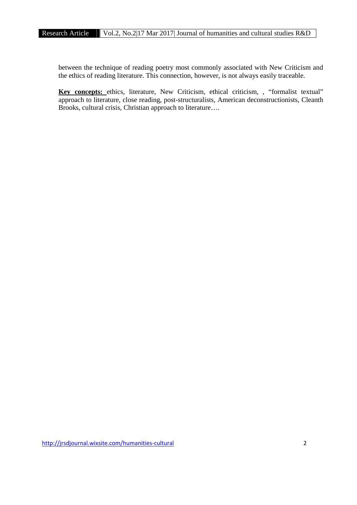between the technique of reading poetry most commonly associated with New Criticism and the ethics of reading literature. This connection, however, is not always easily traceable.

**Key concepts:** ethics, literature, New Criticism, ethical criticism, , "formalist textual" approach to literature, close reading, post-structuralists, American deconstructionists, Cleanth Brooks, cultural crisis, Christian approach to literature….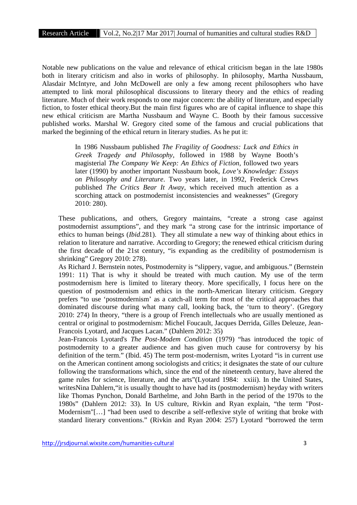Notable new publications on the value and relevance of ethical criticism began in the late 1980s both in literary criticism and also in works of philosophy. In philosophy, Martha Nussbaum, Alasdair McIntyre, and John McDowell are only a few among recent philosophers who have attempted to link moral philosophical discussions to literary theory and the ethics of reading literature. Much of their work responds to one major concern: the ability of literature, and especially fiction, to foster ethical theory.But the main first figures who are of capital influence to shape this new ethical criticism are Martha Nussbaum and Wayne C. Booth by their famous successive published works. Marshal W. Gregory cited some of the famous and crucial publications that marked the beginning of the ethical return in literary studies. As he put it:

> In 1986 Nussbaum published *The Fragility of Goodness: Luck and Ethics in Greek Tragedy and Philosophy*, followed in 1988 by Wayne Booth's magisterial *The Company We Keep: An Ethics of Fiction*, followed two years later (1990) by another important Nussbaum book, *Love's Knowledge: Essays on Philosophy and Literature*. Two years later, in 1992, Frederick Crews published *The Critics Bear It Away*, which received much attention as a scorching attack on postmodernist inconsistencies and weaknesses" (Gregory 2010: 280).

These publications, and others, Gregory maintains, "create a strong case against postmodernist assumptions", and they mark "a strong case for the intrinsic importance of ethics to human beings (*Ibid*.281). They all stimulate a new way of thinking about ethics in relation to literature and narrative. According to Gregory; the renewed ethical criticism during the first decade of the 21st century, "is expanding as the credibility of postmodernism is shrinking" Gregory 2010: 278).

As Richard J. Bernstein notes, Postmodernity is "slippery, vague, and ambiguous." (Bernstein 1991: 11) That is why it should be treated with much caution. My use of the term postmodernism here is limited to literary theory. More specifically, I focus here on the question of postmodernism and ethics in the north-American literary criticism. Gregory prefers "to use 'postmodernism' as a catch-all term for most of the critical approaches that dominated discourse during what many call, looking back, the 'turn to theory'. (Gregory 2010: 274) In theory, "there is a group of French intellectuals who are usually mentioned as central or original to postmodernism: Michel Foucault, Jacques Derrida, Gilles Deleuze, Jean- Francois Lyotard, and Jacques Lacan." (Dahlern 2012: 35)

Jean-Francois Lyotard's *The Post-Modem Condition* (1979) "has introduced the topic of postmodernity to a greater audience and has given much cause for controversy by his definition of the term." (Ibid. 45) The term post-modernism, writes Lyotard "is in current use on the American continent among sociologists and critics; it designates the state of our culture following the transformations which, since the end of the nineteenth century, have altered the game rules for science, literature, and the arts"(Lyotard 1984: xxiii). In the United States, writesNina Dahlern, "it is usually thought to have had its (postmodernism) heyday with writers like Thomas Pynchon, Donald Barthelme, and John Barth in the period of the 1970s to the 1980s" (Dahlern 2012: 33). In US culture, Rivkin and Ryan explain, "the term "Post- Modernism"[…] "had been used to describe a self-reflexive style of writing that broke with standard literary conventions." (Rivkin and Ryan 2004: 257) Lyotard "borrowed the term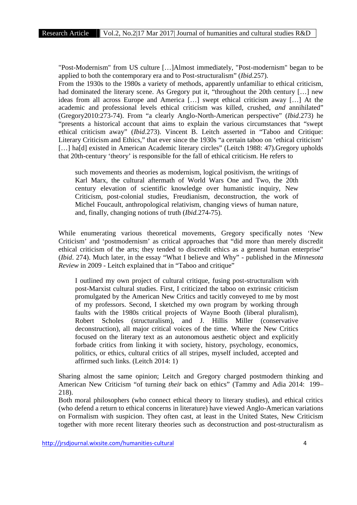"Post-Modernism" from US culture […]Almost immediately, "Post-modernism" began to be applied to both the contemporary era and to Post-structuralism" (*Ibid*.257).

From the 1930s to the 1980s a variety of methods, apparently unfamiliar to ethical criticism, had dominated the literary scene. As Gregory put it, "throughout the 20th century [...] new ideas from all across Europe and America […] swept ethical criticism away […] At the academic and professional levels ethical criticism was killed, crushed, *and* annihilated" (Gregory2010:273-74). From "a clearly Anglo-North-American perspective" (*Ibid*.273) he "presents a historical account that aims to explain the various circumstances that "swept ethical criticism away" (*Ibid*.273). Vincent B. Leitch asserted in "Taboo and Critique: Literary Criticism and Ethics," that ever since the 1930s "a certain taboo on 'ethical criticism' [...] ha[d] existed in American Academic literary circles" (Leitch 1988: 47). Gregory upholds that 20th-century 'theory' is responsible for the fall of ethical criticism. He refers to

such movements and theories as modernism, logical positivism, the writings of Karl Marx, the cultural aftermath of World Wars One and Two, the 20th century elevation of scientific knowledge over humanistic inquiry, New Criticism, post-colonial studies, Freudianism, deconstruction, the work of Michel Foucault, anthropological relativism, changing views of human nature, and, finally, changing notions of truth (*Ibid.*274-75).

While enumerating various theoretical movements, Gregory specifically notes 'New Criticism' and 'postmodernism' as critical approaches that "did more than merely discredit ethical criticism of the arts; they tended to discredit ethics as a general human enterprise" (*Ibid*. 274). Much later, in the essay "What I believe and Why" - published in the *Minnesota Review* in 2009 - Leitch explained that in "Taboo and critique"

I outlined my own project of cultural critique, fusing post-structuralism with post-Marxist cultural studies. First, I criticized the taboo on extrinsic criticism promulgated by the American New Critics and tacitly conveyed to me by most of my professors. Second, I sketched my own program by working through faults with the 1980s critical projects of Wayne Booth (liberal pluralism), Robert Scholes (structuralism), and J. Hillis Miller (conservative deconstruction), all major critical voices of the time. Where the New Critics focused on the literary text as an autonomous aesthetic object and explicitly forbade critics from linking it with society, history, psychology, economics, politics, or ethics, cultural critics of all stripes, myself included, accepted and affirmed such links. (Leitch 2014: 1)

Sharing almost the same opinion; Leitch and Gregory charged postmodern thinking and American New Criticism "of turning *their* back on ethics" (Tammy and Adia 2014: 199– 218).

Both moral philosophers (who connect ethical theory to literary studies), and ethical critics (who defend a return to ethical concerns in literature) have viewed Anglo-American variations on Formalism with suspicion. They often cast, at least in the United States, New Criticism together with more recent literary theories such as deconstruction and post-structuralism as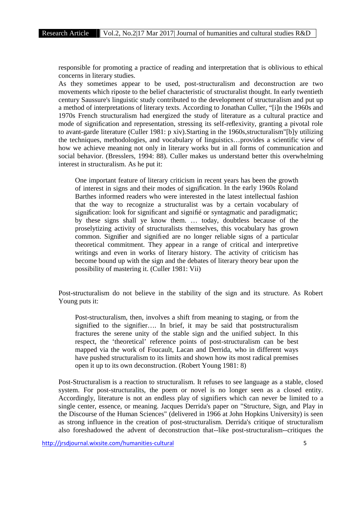responsible for promoting a practice of reading and interpretation that is oblivious to ethical concerns in literary studies.

As they sometimes appear to be used, post-structuralism and deconstruction are two movements which riposte to the belief characteristic of structuralist thought. In early twentieth century Saussure's linguistic study contributed to the development of structuralism and put up a method of interpretations of literary texts. According to Jonathan Culler, "[i]n the 1960s and 1970s French structuralism had energized the study of literature as a cultural practice and mode of signification and representation, stressing its self-reflexivity, granting a pivotal role to avant-garde literature (Culler 1981: p xiv).Starting in the 1960s,structuralism"[b]y utilizing the techniques, methodologies, and vocabulary of linguistics…provides a scientific view of how we achieve meaning not only in literary works but in all forms of communication and social behavior. (Bresslers, 1994: 88). Culler makes us understand better this overwhelming interest in structuralism. As he put it:

One important feature of literary criticism in recent years has been the growth of interest in signs and their modes of signification. In the early 1960s Roland Barthes informed readers who were interested in the latest intellectual fashion that the way to recognize a structuralist was by a certain vocabulary of signification: look for significant and signifié or syntagmatic and paradigmatic; by these signs shall ye know them. … today, doubtless because of the proselytizing activity of structuralists themselves, this vocabulary has grown common. Signifier and signified are no longer reliable signs of a particular theoretical commitment. They appear in a range of critical and interpretive writings and even in works of literary history. The activity of criticism has become bound up with the sign and the debates of literary theory bear upon the possibility of mastering it. (Culler 1981: Vii)

Post-structuralism do not believe in the stability of the sign and its structure. As Robert Young puts it:

Post-structuralism, then, involves a shift from meaning to staging, or from the signified to the signifier…. In brief, it may be said that poststructuralism fractures the serene unity of the stable sign and the unified subject. In this respect, the 'theoretical' reference points of post-structuralism can be best mapped via the work of Foucault, Lacan and Derrida, who in different ways have pushed structuralism to its limits and shown how its most radical premises open it up to its own deconstruction. (Robert Young 1981: 8)

Post-Structuralism is a reaction to structuralism. It refuses to see language as a stable, closed system. For post-structuralits, the poem or novel is no longer seen as a closed entity. Accordingly, literature is not an endless play of signifiers which can never be limited to a single center, essence, or meaning. Jacques Derrida's paper on "Structure, Sign, and Play in the Discourse of the Human Sciences" (delivered in 1966 at John Hopkins University) is seen as strong influence in the creation of post-structuralism. Derrida's critique of structuralism also foreshadowed the advent of deconstruction that--like post-structuralism--critiques the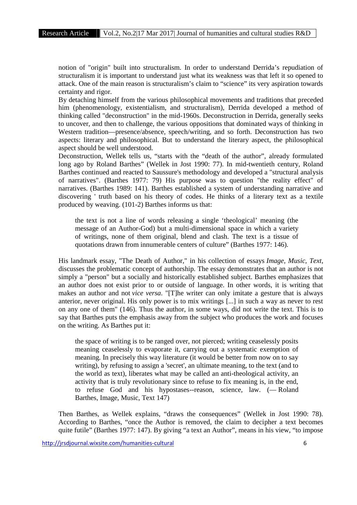notion of "origin" built into structuralism. In order to understand Derrida's repudiation of structuralism it is important to understand just what its weakness was that left it so opened to attack. One of the main reason is structuralism's claim to "science" its very aspiration towards certainty and rigor.

By detaching himself from the various philosophical movements and traditions that preceded him (phenomenology, existentialism, and structuralism), Derrida developed a method of thinking called "deconstruction" in the mid-1960s. Deconstruction in Derrida, generally seeks to uncover, and then to challenge, the various oppositions that dominated ways of thinking in Western tradition—presence/absence, speech/writing, and so forth. Deconstruction has two aspects: literary and philosophical. But to understand the literary aspect, the philosophical aspect should be well understood.

Deconstruction, Wellek tells us, "starts with the "death of the author", already formulated long ago by Roland Barthes" (Wellek in Jost 1990: 77). In mid-twentieth century, Roland Barthes continued and reacted to Saussure's methodology and developed a "structural analysis of narratives". (Barthes 1977: 79) His purpose was to question "the reality effect" of narratives. (Barthes 1989: 141). Barthes established a system of understanding narrative and discovering ' truth based on his theory of codes. He thinks of a literary text as a textile produced by weaving. (101-2) Barthes informs us that:

the text is not a line of words releasing a single 'theological' meaning (the message of an Author-God) but a multi-dimensional space in which a variety of writings, none of them original, blend and clash. The text is a tissue of quotations drawn from innumerable centers of culture" (Barthes 1977: 146).

His landmark essay, "The Death of Author," in his collection of essays *Image, Music, Text*, discusses the problematic concept of authorship. The essay demonstrates that an author is not simply a "person" but a socially and historically established subject. Barthes emphasizes that an author does not exist prior to or outside of language. In other words, it is writing that makes an author and not *vice versa*. "[T]he writer can only imitate a gesture that is always anterior, never original. His only power is to mix writings [...] in such a way as never to rest on any one of them" (146). Thus the author, in some ways, did not write the text. This is to say that Barthes puts the emphasis away from the subject who produces the work and focuses on the writing. As Barthes put it:

the space of writing is to be ranged over, not pierced; writing ceaselessly posits meaning ceaselessly to evaporate it, carrying out a systematic exemption of meaning. In precisely this way literature (it would be better from now on to say writing), by refusing to assign a 'secret', an ultimate meaning, to the text (and to the world as text), liberates what may be called an anti-theological activity, an activity that is truly revolutionary since to refuse to fix meaning is, in the end, to refuse God and his hypostases--reason, science, law. (― Roland Barthes, Image, Music, Text 147)

Then Barthes, as Wellek explains, "draws the consequences" (Wellek in Jost 1990: 78). According to Barthes, "once the Author is removed, the claim to decipher a text becomes quite futile" (Barthes 1977: 147). By giving "a text an Author", means in his view, "to impose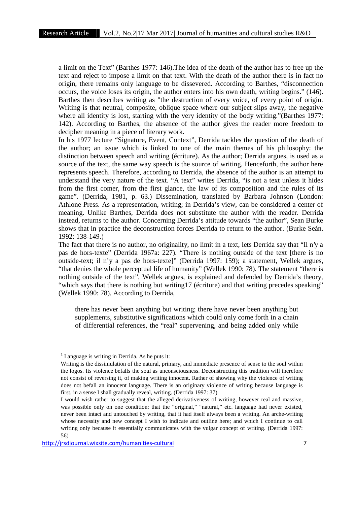a limit on the Text" (Barthes 1977: 146).The idea of the death of the author has to free up the text and reject to impose a limit on that text. With the death of the author there is in fact no origin, there remains only language to be dissevered. According to Barthes, "disconnection occurs, the voice loses its origin, the author enters into his own death, writing begins." (146). Barthes then describes writing as "the destruction of every voice, of every point of origin. Writing is that neutral, composite, oblique space where our subject slips away, the negative where all identity is lost, starting with the very identity of the body writing."(Barthes 1977: 142). According to Barthes, the absence of the author gives the reader more freedom to decipher meaning in a piece of literary work.

In his 1977 lecture "Signature, Event, Context", Derrida tackles the question of the death of the author; an issue which is linked to one of the main themes of his philosophy: the distinction between speech and writing (écriture). As the author; Derrida argues, is used as a source of the text, the same way speech is the source of writing. Henceforth, the author here represents speech. Therefore, according to Derrida, the absence of the author is an attempt to understand the very nature of the text. "A text" writes Derrida, "is not a text unless it hides from the first comer, from the first glance, the law of its composition and the rules of its game". (Derrida, 1981, p. 63.) Dissemination, translated by Barbara Johnson (London: Athlone Press. As a representation, writing; in Derrida's view, can be considered a center of meaning. Unlike Barthes, Derrida does not substitute the author with the reader. Derrida instead, returns to the author. Concerning Derrida's attitude towards "the author", Sean Burke shows that in practice the deconstruction forces Derrida to return to the author. (Burke Seán. 1992: 138-149.)

The fact that there is no author, no originality, no limit in a text, lets Derrida say that "Il n'y a pas de hors-texte" (Derrida 1967a: 227). "There is nothing outside of the text [there is no outside-text; il n'y a pas de hors-texte]" (Derrida 1997: 159); a statement, Wellek argues, "that denies the whole perceptual life of humanity" (Wellek 1990: 78). The statement "there is nothing outside of the text", Wellek argues, is explained and defended by Derrida's theory, "which says that there is nothing but writing17 (écriture) and that writing precedes speaking" (Wellek 1990: 78). According to Derrida,

there has never been anything but writing; there have never been anything but supplements, substitutive significations which could only come forth in a chain of differential references, the "real" supervening, and being added only while

 $1$  Language is writing in Derrida. As he puts it:

Writing is the dissimulation of the natural, primary, and immediate presence of sense to the soul within the logos. Its violence befalls the soul as unconsciousness. Deconstructing this tradition will therefore not consist of reversing it, of making writing innocent. Rather of showing why the violence of writing does not befall an innocent language. There is an originary violence of writing because language is first, in a sense I shall gradually reveal, writing. (Derrida 1997: 37)

I would wish rather to suggest that the alleged derivativeness of writing, however real and massive, was possible only on one condition: that the "original," "natural," etc. language had never existed, never been intact and untouched by writing, that it had itself always been a writing. An arche-writing whose necessity and new concept I wish to indicate and outline here; and which I continue to call writing only because it essentially communicates with the vulgar concept of writing. (Derrida 1997: 56)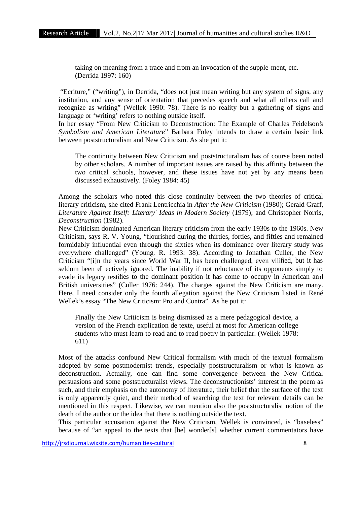taking on meaning from a trace and from an invocation of the supple-ment, etc. (Derrida 1997: 160)

"Ecriture," ("writing"), in Derrida, "does not just mean writing but any system of signs, any institution, and any sense of orientation that precedes speech and what all others call and recognize as writing" (Wellek 1990: 78). There is no reality but a gathering of signs and language or 'writing' refers to nothing outside itself.

In her essay "From New Criticism to Deconstruction: The Example of Charles Feidelson's *Symbolism and American Literature*" Barbara Foley intends to draw a certain basic link between poststructuralism and New Criticism. As she put it:

The continuity between New Criticism and poststructuralism has of course been noted by other scholars. A number of important issues are raised by this affinity between the two critical schools, however, and these issues have not yet by any means been discussed exhaustively. (Foley 1984: 45)

Among the scholars who noted this close continuity between the two theories of critical literary criticism, she cited Frank Lentricchia in *After the New Criticism* (1980); Gerald Graff, *Literature Against Itself: Literary' Ideas in Modern Society* (1979); and Christopher Norris, *Deconstruction* (1982).

New Criticism dominated American literary criticism from the early 1930s to the 1960s. New Criticism, says R. V. Young, "flourished during the thirties, forties, and fifties and remained formidably influential even through the sixties when its dominance over literary study was everywhere challenged" (Young. R. 1993: 38). According to Jonathan Culler, the New Criticism "[i]n the years since World War II, has been challenged, even vilified, but it has seldom been e ectively ignored. The inability if not reluctance of its opponents simply to evade its legacy testifies to the dominant position it has come to occupy in American and British universities" (Culler 1976: 244). The charges against the New Criticism are many. Here, I need consider only the fourth allegation against the New Criticism listed in René Wellek's essay "The New Criticism: Pro and Contra". As he put it:

Finally the New Criticism is being dismissed as a mere pedagogical device, a version of the French explication de texte, useful at most for American college students who must learn to read and to read poetry in particular. (Wellek 1978: 611)

Most of the attacks confound New Critical formalism with much of the textual formalism adopted by some postmodernist trends, especially poststructuralism or what is known as deconstruction. Actually, one can find some convergence between the New Critical persuasions and some poststructuralist views. The deconstructionists' interest in the poem as such, and their emphasis on the autonomy of literature, their belief that the surface of the text is only apparently quiet, and their method of searching the text for relevant details can be mentioned in this respect. Likewise, we can mention also the poststructuralist notion of the death of the author or the idea that there is nothing outside the text.

This particular accusation against the New Criticism, Wellek is convinced, is "baseless" because of "an appeal to the texts that [he] wonder[s] whether current commentators have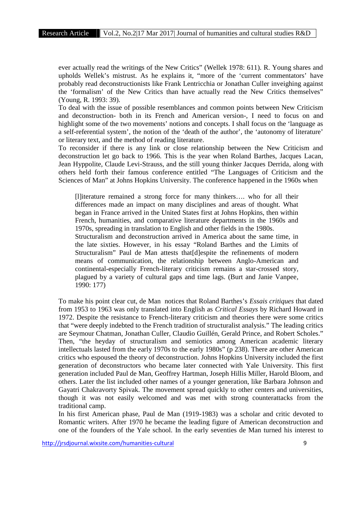ever actually read the writings of the New Critics" (Wellek 1978: 611). R. Young shares and upholds Wellek's mistrust. As he explains it, "more of the 'current commentators' have probably read deconstructionists like Frank Lentricchia or Jonathan Culler inveighing against the 'formalism' of the New Critics than have actually read the New Critics themselves" (Young, R. 1993: 39).

To deal with the issue of possible resemblances and common points between New Criticism and deconstruction- both in its French and American version-, I need to focus on and highlight some of the two movements' notions and concepts. I shall focus on the 'language as a self-referential system', the notion of the 'death of the author', the 'autonomy of literature' or literary text, and the method of reading literature.

To reconsider if there is any link or close relationship between the New Criticism and deconstruction let go back to 1966. This is the year when Roland Barthes, Jacques Lacan, Jean Hyppolite, Claude Levi-Strauss, and the still young thinker Jacques Derrida, along with others held forth their famous conference entitled "The Languages of Criticism and the Sciences of Man" at Johns Hopkins University. The conference happened in the 1960s when

[l]iterature remained a strong force for many thinkers…. who for all their differences made an impact on many disciplines and areas of thought. What began in France arrived in the United States first at Johns Hopkins, then within French, humanities, and comparative literature departments in the 1960s and 1970s, spreading in translation to English and other fields in the 1980s.

Structuralism and deconstruction arrived in America about the same time, in the late sixties. However, in his essay "Roland Barthes and the Limits of Structuralism" Paul de Man attests that[d]espite the refinements of modern means of communication, the relationship between Anglo-American and continental-especially French-literary criticism remains a star-crossed story, plagued by a variety of cultural gaps and time lags. (Burt and Janie Vanpee, 1990: 177)

To make his point clear cut, de Man notices that Roland Barthes's *Essais critiques* that dated from 1953 to 1963 was only translated into English as *Critical Essays* by Richard Howard in 1972. Despite the resistance to French-literary criticism and theories there were some critics that "were deeply indebted to the French tradition of structuralist analysis." The leading critics are Seymour Chatman, Jonathan Culler, Claudio Guillén, Gerald Prince, and Robert Scholes." Then, "the heyday of structuralism and semiotics among American academic literary intellectuals lasted from the early 1970s to the early 1980s" (p 238). There are other American critics who espoused the theory of deconstruction. Johns Hopkins University included the first generation of deconstructors who became later connected with Yale University. This first generation included Paul de Man, Geoffrey Hartman, Joseph Hillis Miller, Harold Bloom, and others. Later the list included other names of a younger generation, like Barbara Johnson and Gayatri Chakravorty Spivak. The movement spread quickly to other centers and universities, though it was not easily welcomed and was met with strong counterattacks from the traditional camp.

In his first American phase, Paul de Man (1919-1983) was a scholar and critic devoted to Romantic writers. After 1970 he became the leading figure of American deconstruction and one of the founders of the Yale school. In the early seventies de Man turned his interest to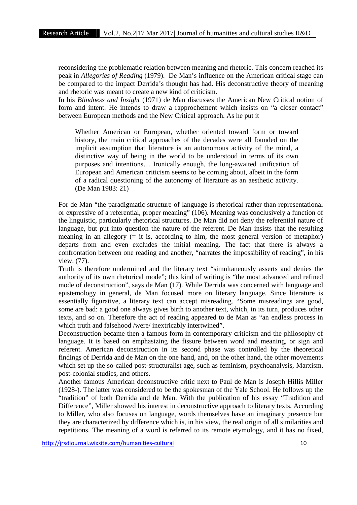reconsidering the problematic relation between meaning and rhetoric. This concern reached its peak in *Allegories of Reading* (1979). De Man's influence on the American critical stage can be compared to the impact Derrida's thought has had. His deconstructive theory of meaning and rhetoric was meant to create a new kind of criticism.

In his *Blindness and Insight* (1971) de Man discusses the American New Critical notion of form and intent. He intends to draw a rapprochement which insists on "a closer contact" between European methods and the New Critical approach. As he put it

Whether American or European, whether oriented toward form or toward history, the main critical approaches of the decades were all founded on the implicit assumption that literature is an autonomous activity of the mind, a distinctive way of being in the world to be understood in terms of its own purposes and intentions… Ironically enough, the long-awaited unification of European and American criticism seems to be coming about, albeit in the form of a radical questioning of the autonomy of literature as an aesthetic activity. (De Man 1983: 21)

For de Man "the paradigmatic structure of language is rhetorical rather than representational or expressive of a referential, proper meaning" (106). Meaning was conclusively a function of the linguistic, particularly rhetorical structures. De Man did not deny the referential nature of language, but put into question the nature of the referent. De Man insists that the resulting meaning in an allegory  $(= it is, according to him, the most general version of metaphor)$ departs from and even excludes the initial meaning. The fact that there is always a confrontation between one reading and another, "narrates the impossibility of reading", in his view. (77).

Truth is therefore undermined and the literary text "simultaneously asserts and denies the authority of its own rhetorical mode"; this kind of writing is "the most advanced and refined mode of deconstruction", says de Man (17). While Derrida was concerned with language and epistemology in general, de Man focused more on literary language. Since literature is essentially figurative, a literary text can accept misreading. "Some misreadings are good, some are bad: a good one always gives birth to another text, which, in its turn, produces other texts, and so on. Therefore the act of reading appeared to de Man as "an endless process in which truth and falsehood /were/ inextricably intertwined".

Deconstruction became then a famous form in contemporary criticism and the philosophy of language. It is based on emphasizing the fissure between word and meaning, or sign and referent. American deconstruction in its second phase was controlled by the theoretical findings of Derrida and de Man on the one hand, and, on the other hand, the other movements which set up the so-called post-structuralist age, such as feminism, psychoanalysis, Marxism, post-colonial studies, and others.

Another famous American deconstructive critic next to Paul de Man is Joseph Hillis Miller (1928-). The latter was considered to be the spokesman of the Yale School. He follows up the "tradition" of both Derrida and de Man. With the publication of his essay "Tradition and Difference", Miller showed his interest in deconstructive approach to literary texts. According to Miller, who also focuses on language, words themselves have an imaginary presence but they are characterized by difference which is, in his view, the real origin of all similarities and repetitions. The meaning of a word is referred to its remote etymology, and it has no fixed,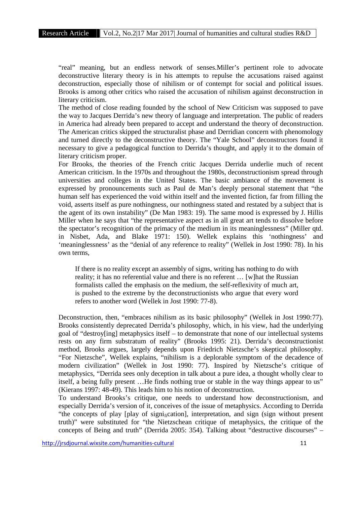"real" meaning, but an endless network of senses.Miller's pertinent role to advocate deconstructive literary theory is in his attempts to repulse the accusations raised against deconstruction, especially those of nihilism or of contempt for social and political issues. Brooks is among other critics who raised the accusation of nihilism against deconstruction in literary criticism.

The method of close reading founded by the school of New Criticism was supposed to pave the way to Jacques Derrida's new theory of language and interpretation. The public of readers in America had already been prepared to accept and understand the theory of deconstruction. The American critics skipped the structuralist phase and Derridian concern with phenomology and turned directly to the deconstructive theory. The "Yale School" deconstructors found it necessary to give a pedagogical function to Derrida's thought, and apply it to the domain of literary criticism proper.

For Brooks, the theories of the French critic Jacques Derrida underlie much of recent American criticism. In the 1970s and throughout the 1980s, deconstructionism spread through universities and colleges in the United States. The basic ambiance of the movement is expressed by pronouncements such as Paul de Man's deeply personal statement that "the human self has experienced the void within itself and the invented fiction, far from filling the void, asserts itself as pure nothingness, our nothingness stated and restated by a subject that is the agent of its own instability" (De Man 1983: 19). The same mood is expressed by J. Hillis Miller when he says that "the representative aspect as in all great art tends to dissolve before the spectator's recognition of the primacy of the medium in its meaninglessness" (Miller qtd. in Nisbet, Ada, and Blake 1971: 150). Wellek explains this 'nothingness' and 'meaninglessness' as the "denial of any reference to reality" (Wellek in Jost 1990: 78). In his own terms,

If there is no reality except an assembly of signs, writing has nothing to do with reality; it has no referential value and there is no referent … [w]hat the Russian formalists called the emphasis on the medium, the self-reflexivity of much art, is pushed to the extreme by the deconstructionists who argue that every word refers to another word (Wellek in Jost 1990: 77-8).

Deconstruction, then, "embraces nihilism as its basic philosophy" (Wellek in Jost 1990:77). Brooks consistently deprecated Derrida's philosophy, which, in his view, had the underlying goal of "destroy[ing] metaphysics itself – to demonstrate that none of our intellectual systems rests on any firm substratum of reality" (Brooks 1995: 21). Derrida's deconstructionist method, Brooks argues, largely depends upon Friedrich Nietzsche's skeptical philosophy. "For Nietzsche", Wellek explains, "nihilism is a deplorable symptom of the decadence of modern civilization" (Wellek in Jost 1990: 77). Inspired by Nietzsche's critique of metaphysics, "Derrida sees only deception in talk about a pure idea, a thought wholly clear to itself, a being fully present …He finds nothing true or stable in the way things appear to us" (Kierans 1997: 48-49). This leads him to his notion of deconstruction.

To understand Brooks's critique, one needs to understand how deconstructionism, and especially Derrida's version of it, conceives of the issue of metaphysics. According to Derrida "the concepts of play [play of signi<sub>fi</sub>cation], interpretation, and sign (sign without present truth)" were substituted for "the Nietzschean critique of metaphysics, the critique of the concepts of Being and truth" (Derrida 2005: 354). Talking about "destructive discourses" –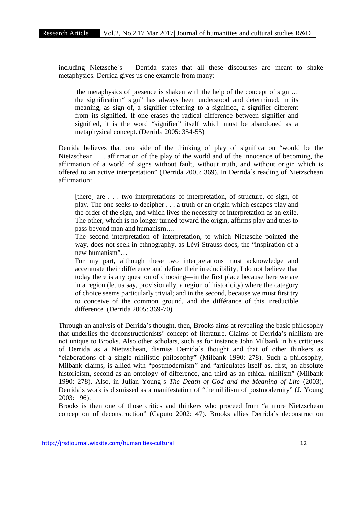including Nietzsche´s – Derrida states that all these discourses are meant to shake metaphysics. Derrida gives us one example from many:

the metaphysics of presence is shaken with the help of the concept of sign … the signification" sign" has always been understood and determined, in its meaning, as sign-of, a signifier referring to a signified, a signifier different from its signified. If one erases the radical difference between signifier and signified, it is the word "signifier" itself which must be abandoned as a metaphysical concept. (Derrida 2005: 354-55)

Derrida believes that one side of the thinking of play of signification "would be the Nietzschean . . . affirmation of the play of the world and of the innocence of becoming, the affirmation of a world of signs without fault, without truth, and without origin which is offered to an active interpretation" (Derrida 2005: 369). In Derrida´s reading of Nietzschean affirmation:

[there] are . . . two interpretations of interpretation, of structure, of sign, of play. The one seeks to decipher . . . a truth or an origin which escapes play and the order of the sign, and which lives the necessity of interpretation as an exile. The other, which is no longer turned toward the origin, affirms play and tries to pass beyond man and humanism….

The second interpretation of interpretation, to which Nietzsche pointed the way, does not seek in ethnography, as Lévi-Strauss does, the "inspiration of a new humanism"…

For my part, although these two interpretations must acknowledge and accentuate their difference and define their irreducibility, I do not believe that today there is any question of choosing—in the first place because here we are in a region (let us say, provisionally, a region of historicity) where the category of choice seems particularly trivial; and in the second, because we must first try to conceive of the common ground, and the différance of this irreducible difference (Derrida 2005: 369-70)

Through an analysis of Derrida's thought, then, Brooks aims at revealing the basic philosophy that underlies the deconstructionists' concept of literature. Claims of Derrida's nihilism are not unique to Brooks. Also other scholars, such as for instance John Milbank in his critiques of Derrida as a Nietzschean, dismiss Derrida´s thought and that of other thinkers as "elaborations of a single nihilistic philosophy" (Milbank 1990: 278). Such a philosophy, Milbank claims, is allied with "postmodernism" and "articulates itself as, first, an absolute historicism, second as an ontology of difference, and third as an ethical nihilism" (Milbank 1990: 278). Also, in Julian Young´s *The Death of God and the Meaning of Life* (2003), Derrida's work is dismissed as a manifestation of "the nihilism of postmodernity" (J. Young 2003: 196).

Brooks is then one of those critics and thinkers who proceed from "a more Nietzschean conception of deconstruction" (Caputo 2002: 47). Brooks allies Derrida´s deconstruction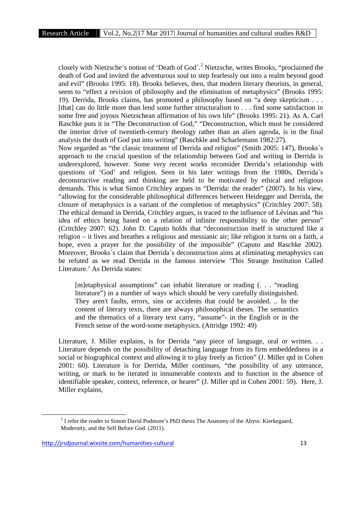closely with Nietzsche's notion of 'Death of God´.<sup>2</sup> Nietzsche, writes Brooks, "proclaimed the death of God and invited the adventurous soul to step fearlessly out into a realm beyond good and evil" (Brooks 1995: 18). Brooks believes, then, that modern literary theorists, in general, seem to "effect a revision of philosophy and the elimination of metaphysics" (Brooks 1995: 19). Derrida, Brooks claims, has promoted a philosophy based on "a deep skepticism . . . [that] can do little more than lend some further structuralism to . . . find some satisfaction in some free and joyous Nietzschean affirmation of his own life" (Brooks 1995: 21). As A. Carl Raschke puts it in "The Deconstruction of God," "Deconstruction, which must be considered the interior drive of twentieth-century theology rather than an alien agenda, is in the final analysis the death of God put into writing" (Raschkle and Scharlemann 1982:27).

Now regarded as "the classic treatment of Derrida and religion" (Smith 2005: 147), Brooks´s approach to the crucial question of the relationship between God and writing in Derrida is underexplored, however. Some very recent works reconsider Derrida's relationship with questions of 'God' and religion. Seen in his later writings from the 1980s, Derrida´s deconstructive reading and thinking are held to be motivated by ethical and religious demands. This is what Simon Critchley argues in "Derrida: the reader" (2007). In his view, "allowing for the considerable philosophical differences between Heidegger and Derrida, the closure of metaphysics is a variant of the completion of metaphysics" (Critchley 2007: 58). The ethical demand in Derrida, Critchley argues, is traced to the influence of Lévinas and "his idea of ethics being based on a relation of infinite responsibility to the other person" (Critchley 2007: 62). John D. Caputo holds that "deconstruction itself is structured like a religion – it lives and breathes a religious and messianic air; like religion it turns on a faith, a hope, even a prayer for the possibility of the impossible" (Caputo and Raschke 2002). Moreover, Brooks´s claim that Derrida´s deconstruction aims at eliminating metaphysics can be refuted as we read Derrida in the famous interview 'This Strange Institution Called Literature.' As Derrida states:

[m]etaphysical assumptions" can inhabit literature or reading (. . . "reading literature") in a number of ways which should be very carefully distinguished. They aren't faults, errors, sins or accidents that could be avoided. .. In the content of literary texts, there are always philosophical theses. The semantics and the thematics of a literary text carry, "assume"- in the English or in the French sense of the word-some metaphysics. (Attridge 1992: 49)

Literature, J. Miller explains, is for Derrida "any piece of language, oral or written... Literature depends on the possibility of detaching language from its firm embeddedness in a social or biographical context and allowing it to play freely as fiction" (J. Miller qtd in Cohen 2001: 60). Literature is for Derrida, Miller continues, "the possibility of any utterance, writing, or mark to be iterated in innumerable contexts and to function in the absence of identifiable speaker, context, reference, or hearer" (J. Miller qtd in Cohen 2001: 59). Here, J. Miller explains,

<sup>&</sup>lt;sup>2</sup> I refer the reader to Simon David Podmore's PhD thesis The Anatomy of the Abyss: Kierkegaard, Modernity, and the Self Before God. (2011).

http://jrsdjournal.wixsite.com/humanities-cultural 13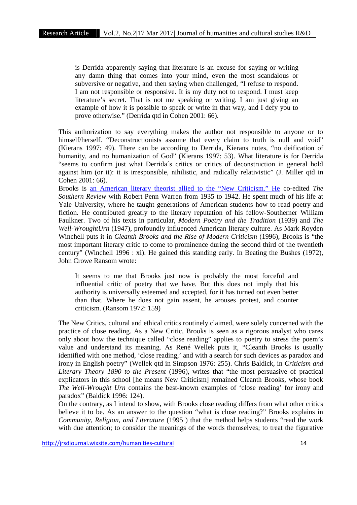is Derrida apparently saying that literature is an excuse for saying or writing any damn thing that comes into your mind, even the most scandalous or subversive or negative, and then saying when challenged, "I refuse to respond. I am not responsible or responsive. It is my duty not to respond. I must keep literature's secret. That is not me speaking or writing. I am just giving an example of how it is possible to speak or write in that way, and I defy you to prove otherwise." (Derrida qtd in Cohen 2001: 66).

This authorization to say everything makes the author not responsible to anyone or to himself/herself. "Deconstructionists assume that every claim to truth is null and void" (Kierans 1997: 49). There can be according to Derrida, Kierans notes, "no deification of humanity, and no humanization of God" (Kierans 1997: 53). What literature is for Derrida "seems to confirm just what Derrida´s critics or critics of deconstruction in general hold against him (or it): it is irresponsible, nihilistic, and radically relativistic" (J. Miller qtd in Cohen 2001: 66).

Brooks is an American literary theorist allied to the "New Criticism." He co-edited *The Southern Review* with Robert Penn Warren from 1935 to 1942. He spent much of his life at Yale University, where he taught generations of American students how to read poetry and fiction. He contributed greatly to the literary reputation of his fellow-Southerner William Faulkner. Two of his texts in particular, *Modern Poetry and the Tradition* (1939) and *The Well-WroughtUrn* (1947), profoundly influenced American literary culture. As Mark Royden Winchell puts it in *Cleanth Brooks and the Rise of Modern Criticism* (1996), Brooks is "the most important literary critic to come to prominence during the second third of the twentieth century" (Winchell 1996 : xi). He gained this standing early. In Beating the Bushes (1972), John Crowe Ransom wrote:

It seems to me that Brooks just now is probably the most forceful and influential critic of poetry that we have. But this does not imply that his authority is universally esteemed and accepted, for it has turned out even better than that. Where he does not gain assent, he arouses protest, and counter criticism. (Ransom 1972: 159)

The New Critics, cultural and ethical critics routinely claimed, were solely concerned with the practice of close reading. As a New Critic, Brooks is seen as a rigorous analyst who cares only about how the technique called "close reading" applies to poetry to stress the poem's value and understand its meaning. As René Wellek puts it, "Cleanth Brooks is usually identified with one method, 'close reading,' and with a search for such devices as paradox and irony in English poetry" (Wellek qtd in Simpson 1976: 255). Chris Baldick, in *Criticism and Literary Theory 1890 to the Present* (1996), writes that "the most persuasive of practical explicators in this school [he means New Criticism] remained Cleanth Brooks, whose book *The Well-Wrought Urn* contains the best-known examples of 'close reading' for irony and paradox" (Baldick 1996: 124).

On the contrary, as I intend to show, with Brooks close reading differs from what other critics believe it to be. As an answer to the question "what is close reading?" Brooks explains in *Community, Religion, and Literature* (1995 ) that the method helps students "read the work with due attention; to consider the meanings of the words themselves; to treat the figurative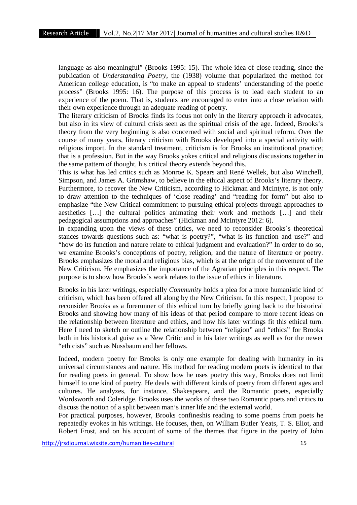language as also meaningful" (Brooks 1995: 15). The whole idea of close reading, since the publication of *Understanding Poetry*, the (1938) volume that popularized the method for American college education, is "to make an appeal to students' understanding of the poetic process" (Brooks 1995: 16). The purpose of this process is to lead each student to an experience of the poem. That is, students are encouraged to enter into a close relation with their own experience through an adequate reading of poetry.

The literary criticism of Brooks finds its focus not only in the literary approach it advocates, but also in its view of cultural crisis seen as the spiritual crisis of the age. Indeed, Brooks's theory from the very beginning is also concerned with social and spiritual reform. Over the course of many years, literary criticism with Brooks developed into a special activity with religious import. In the standard treatment, criticism is for Brooks an institutional practice; that is a profession. But in the way Brooks yokes critical and religious discussions together in the same pattern of thought, his critical theory extends beyond this.

This is what has led critics such as Monroe K. Spears and René Wellek, but also Winchell, Simpson, and James A. Grimshaw, to believe in the ethical aspect of Brooks's literary theory. Furthermore, to recover the New Criticism, according to Hickman and McIntyre, is not only to draw attention to the techniques of 'close reading' and "reading for form" but also to emphasize "the New Critical commitment to pursuing ethical projects through approaches to aesthetics […] the cultural politics animating their work and methods […] and their pedagogical assumptions and approaches" (Hickman and McIntyre 2012: 6).

In expanding upon the views of these critics, we need to reconsider Brooks´s theoretical stances towards questions such as: "what is poetry?", "what is its function and use?" and "how do its function and nature relate to ethical judgment and evaluation?" In order to do so, we examine Brooks's conceptions of poetry, religion, and the nature of literature or poetry. Brooks emphasizes the moral and religious bias, which is at the origin of the movement of the New Criticism. He emphasizes the importance of the Agrarian principles in this respect. The purpose is to show how Brooks´s work relates to the issue of ethics in literature.

Brooks in his later writings, especially *Community* holds a plea for a more humanistic kind of criticism, which has been offered all along by the New Criticism. In this respect, I propose to reconsider Brooks as a forerunner of this ethical turn by briefly going back to the historical Brooks and showing how many of his ideas of that period compare to more recent ideas on the relationship between literature and ethics, and how his later writings fit this ethical turn. Here I need to sketch or outline the relationship between "religion" and "ethics" for Brooks both in his historical guise as a New Critic and in his later writings as well as for the newer "ethicists" such as Nussbaum and her fellows.

Indeed, modern poetry for Brooks is only one example for dealing with humanity in its universal circumstances and nature. His method for reading modern poets is identical to that for reading poets in general. To show how he uses poetry this way, Brooks does not limit himself to one kind of poetry. He deals with different kinds of poetry from different ages and cultures. He analyzes, for instance, Shakespeare, and the Romantic poets, especially Wordsworth and Coleridge. Brooks uses the works of these two Romantic poets and critics to discuss the notion of a split between man's inner life and the external world.

For practical purposes, however, Brooks confineshis reading to some poems from poets he repeatedly evokes in his writings. He focuses, then, on William Butler Yeats, T. S. Eliot, and Robert Frost, and on his account of some of the themes that figure in the poetry of John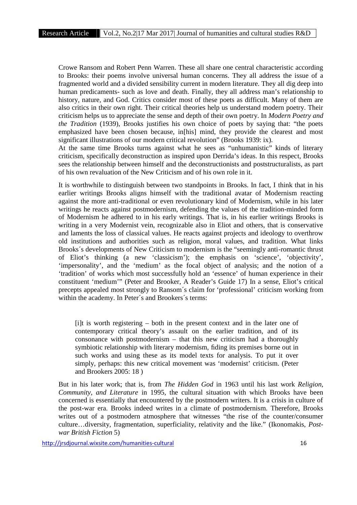Crowe Ransom and Robert Penn Warren. These all share one central characteristic according to Brooks: their poems involve universal human concerns. They all address the issue of a fragmented world and a divided sensibility current in modern literature. They all dig deep into human predicaments- such as love and death. Finally, they all address man's relationship to history, nature, and God. Critics consider most of these poets as difficult. Many of them are also critics in their own right. Their critical theories help us understand modern poetry. Their criticism helps us to appreciate the sense and depth of their own poetry. In *Modern Poetry and the Tradition* (1939), Brooks justifies his own choice of poets by saying that: "the poets emphasized have been chosen because, in[his] mind, they provide the clearest and most significant illustrations of our modern critical revolution" (Brooks 1939: ix).

At the same time Brooks turns against what he sees as "unhumanistic" kinds of literary criticism, specifically deconstruction as inspired upon Derrida's ideas. In this respect, Brooks sees the relationship between himself and the deconstructionists and poststructuralists, as part of his own revaluation of the New Criticism and of his own role in it.

It is worthwhile to distinguish between two standpoints in Brooks. In fact, I think that in his earlier writings Brooks aligns himself with the traditional avatar of Modernism reacting against the more anti-traditional or even revolutionary kind of Modernism, while in his later writings he reacts against postmodernism, defending the values of the tradition-minded form of Modernism he adhered to in his early writings. That is, in his earlier writings Brooks is writing in a very Modernist vein, recognizable also in Eliot and others, that is conservative and laments the loss of classical values. He reacts against projects and ideology to overthrow old institutions and authorities such as religion, moral values, and tradition. What links Brooks´s developments of New Criticism to modernism is the "seemingly anti-romantic thrust of Eliot's thinking (a new 'classicism'); the emphasis on 'science', 'objectivity', 'impersonality', and the 'medium' as the focal object of analysis; and the notion of a 'tradition' of works which most successfully hold an 'essence' of human experience in their constituent 'medium'" (Peter and Brooker, A Reader's Guide 17) In a sense, Eliot's critical precepts appealed most strongly to Ransom´s claim for 'professional' criticism working from within the academy. In Peter´s and Brookers´s terms:

[i]t is worth registering – both in the present context and in the later one of contemporary critical theory's assault on the earlier tradition, and of its consonance with postmodernism – that this new criticism had a thoroughly symbiotic relationship with literary modernism, fiding its premises borne out in such works and using these as its model texts for analysis. To put it over simply, perhaps: this new critical movement was 'modernist' criticism. (Peter and Brookers 2005: 18 )

But in his later work; that is, from *The Hidden God* in 1963 until his last work *Religion, Community, and Literature* in 1995, the cultural situation with which Brooks have been concerned is essentially that encountered by the postmodern writers. It is a crisis in culture of the post-war era. Brooks indeed writes in a climate of postmodernism. Therefore, Brooks writes out of a postmodern atmosphere that witnesses "the rise of the counter/consumer culture…diversity, fragmentation, superficiality, relativity and the like." (Ikonomakis, *Post war British Fiction* 5)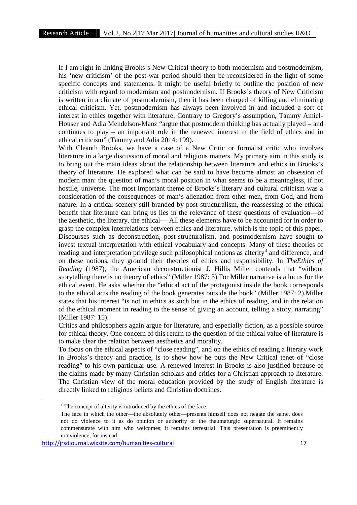If I am right in linking Brooks´s New Critical theory to both modernism and postmodernism, his 'new criticism' of the post-war period should then be reconsidered in the light of some specific concepts and statements. It might be useful briefly to outline the position of new criticism with regard to modernism and postmodernism. If Brooks's theory of New Criticism is written in a climate of postmodernism, then it has been charged of killing and eliminating ethical criticism. Yet, postmodernism has always been involved in and included a sort of interest in ethics together with literature. Contrary to Gregory's assumption, Tammy Amiel- Houser and Adia Mendelson-Maoz "argue that postmodern thinking has actually played – and continues to play – an important role in the renewed interest in the field of ethics and in ethical criticism" (Tammy and Adia 2014: 199).

With Cleanth Brooks, we have a case of a New Critic or formalist critic who involves literature in a large discussion of moral and religious matters. My primary aim in this study is to bring out the main ideas about the relationship between literature and ethics in Brooks's theory of literature. He explored what can be said to have become almost an obsession of modern man: the question of man's moral position in what seems to be a meaningless, if not hostile, universe. The most important theme of Brooks´s literary and cultural criticism was a consideration of the consequences of man's alienation from other men, from God, and from nature. In a critical scenery still branded by post-structuralism, the reassessing of the ethical benefit that literature can bring us lies in the relevance of these questions of evaluation—of the aesthetic, the literary, the ethical— All these elements have to be accounted for in order to grasp the complex interrelations between ethics and literature, which is the topic of this paper. Discourses such as deconstruction, post-structuralism, and postmodernism have sought to invest textual interpretation with ethical vocabulary and concepts. Many of these theories of reading and interpretation privilege such philosophical notions as alterity<sup>3</sup> and difference, and on these notions, they ground their theories of ethics and responsibility. In *TheEthics of Reading* (1987), the American deconstructionist J. Hillis Miller contends that "without storytelling there is no theory of ethics" (Miller 1987: 3).For Miller narrative is a locus for the ethical event. He asks whether the "ethical act of the protagonist inside the book corresponds to the ethical acts the reading of the book generates outside the book" (Miller 1987: 2).Miller states that his interest "is not in ethics as such but in the ethics of reading, and in the relation of the ethical moment in reading to the sense of giving an account, telling a story, narrating" (Miller 1987: 15).

Critics and philosophers again argue for literature, and especially fiction, as a possible source for ethical theory. One concern of this return to the question of the ethical value of literature is to make clear the relation between aesthetics and morality.

To focus on the ethical aspects of "close reading", and on the ethics of reading a literary work in Brooks's theory and practice, is to show how he puts the New Critical tenet of "close reading" to his own particular use. A renewed interest in Brooks is also justified because of the claims made by many Christian scholars and critics for a Christian approach to literature. The Christian view of the moral education provided by the study of English literature is directly linked to religious beliefs and Christian doctrines.

<sup>&</sup>lt;sup>3</sup> The concept of alterity is introduced by the ethics of the face:

The face in which the other—the absolutely other—presents himself does not negate the same, does not do violence to it as do opinion or authority or the thaumaturgic supernatural. It remains commensurate with him who welcomes; it remains terrestrial. This presentation is preeminently nonviolence, for instead

http://jrsdjournal.wixsite.com/humanities-cultural 17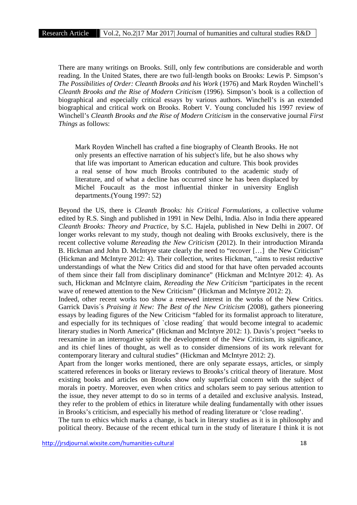There are many writings on Brooks. Still, only few contributions are considerable and worth reading. In the United States, there are two full-length books on Brooks: Lewis P. Simpson's *The Possibilities of Order: Cleanth Brooks and his Work* (1976) and Mark Royden Winchell's *Cleanth Brooks and the Rise of Modern Criticism* (1996). Simpson's book is a collection of biographical and especially critical essays by various authors. Winchell's is an extended biographical and critical work on Brooks. Robert V. Young concluded his 1997 review of Winchell's *Cleanth Brooks and the Rise of Modern Criticism* in the conservative journal *First Things* as follows:

Mark Royden Winchell has crafted a fine biography of Cleanth Brooks. He not only presents an effective narration of his subject's life, but he also shows why that life was important to American education and culture. This book provides a real sense of how much Brooks contributed to the academic study of literature, and of what a decline has occurred since he has been displaced by Michel Foucault as the most influential thinker in university English departments.(Young 1997: 52)

Beyond the US, there is *Cleanth Brooks: his Critical Formulations*, a collective volume edited by R.S. Singh and published in 1991 in New Delhi, India. Also in India there appeared *Cleanth Brooks: Theory and Practice*, by S.C. Hajela, published in New Delhi in 2007. Of longer works relevant to my study, though not dealing with Brooks exclusively, there is the recent collective volume *Rereading the New Criticism* (2012). In their introduction Miranda B. Hickman and John D. McIntyre state clearly the need to "recover […] the New Criticism" (Hickman and McIntyre 2012: 4). Their collection, writes Hickman, "aims to resist reductive understandings of what the New Critics did and stood for that have often pervaded accounts of them since their fall from disciplinary dominance" (Hickman and McIntyre 2012: 4). As such, Hickman and McIntyre claim, *Rereading the New Criticism* "participates in the recent wave of renewed attention to the New Criticism" (Hickman and McIntyre 2012: 2).

Indeed, other recent works too show a renewed interest in the works of the New Critics. Garrick Davis´s *Praising it New: The Best of the New Criticism* (2008), gathers pioneering essays by leading figures of the New Criticism "fabled for its formalist approach to literature, and especially for its techniques of `close reading´ that would become integral to academic literary studies in North America" (Hickman and McIntyre 2012: 1). Davis's project "seeks to reexamine in an interrogative spirit the development of the New Criticism, its significance, and its chief lines of thought, as well as to consider dimensions of its work relevant for contemporary literary and cultural studies" (Hickman and McIntyre 2012: 2).

Apart from the longer works mentioned, there are only separate essays, articles, or simply scattered references in books or literary reviews to Brooks's critical theory of literature. Most existing books and articles on Brooks show only superficial concern with the subject of morals in poetry. Moreover, even when critics and scholars seem to pay serious attention to the issue, they never attempt to do so in terms of a detailed and exclusive analysis. Instead, they refer to the problem of ethics in literature while dealing fundamentally with other issues in Brooks's criticism, and especially his method of reading literature or 'close reading'.

The turn to ethics which marks a change, is back in literary studies as it is in philosophy and political theory. Because of the recent ethical turn in the study of literature I think it is not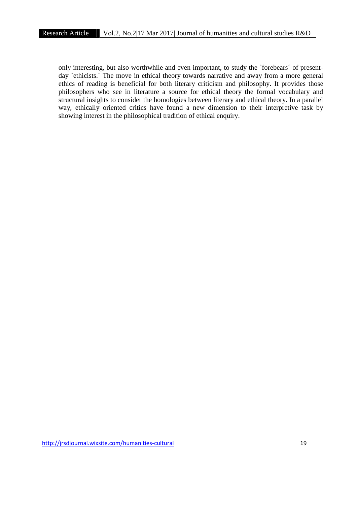only interesting, but also worthwhile and even important, to study the `forebears´ of present day `ethicists.´ The move in ethical theory towards narrative and away from a more general ethics of reading is beneficial for both literary criticism and philosophy. It provides those philosophers who see in literature a source for ethical theory the formal vocabulary and structural insights to consider the homologies between literary and ethical theory. In a parallel way, ethically oriented critics have found a new dimension to their interpretive task by showing interest in the philosophical tradition of ethical enquiry.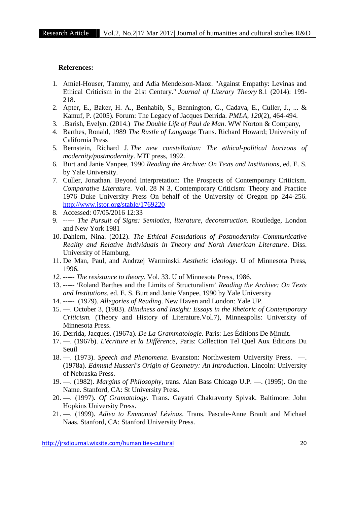## **References:**

- 1. Amiel-Houser, Tammy, and Adia Mendelson-Maoz. "Against Empathy: Levinas and Ethical Criticism in the 21st Century." *Journal of Literary Theory* 8.1 (2014): 199- 218.
- 2. Apter, E., Baker, H. A., Benhabib, S., Bennington, G., Cadava, E., Culler, J., ... & Kamuf, P. (2005). Forum: The Legacy of Jacques Derrida. *PMLA*, *120*(2), 464-494.
- 3. .Barish, Evelyn. (2014.) *The Double Life of Paul de Man*. WW Norton & Company,
- 4. Barthes, Ronald, 1989 *The Rustle of Language* Trans. Richard Howard; University of California Press
- 5. Bernstein, Richard J. *The new constellation: The ethical-political horizons of modernity/postmodernity*. MIT press, 1992.
- 6. Burt and Janie Vanpee, 1990 *Reading the Archive: On Texts and Institutions*, ed. E. S. by Yale University.
- 7. Culler, Jonathan. Beyond Interpretation: The Prospects of Contemporary Criticism. *Comparative Literature.* Vol. 28 N 3, Contemporary Criticism: Theory and Practice 1976 Duke University Press On behalf of the University of Oregon pp 244-256. http://www.jstor.org/stable/1769220
- 8. Accessed: 07/05/2016 12:33
- 9. ----- *The Pursuit of Signs: Semiotics, literature, deconstruction.* Routledge, London and New York 1981
- 10. Dahlern, Nina. (2012). *The Ethical Foundations of Postmodernity–Communicative Reality and Relative Individuals in Theory and North American Literature*. Diss. University of Hamburg,
- 11. De Man, Paul, and Andrzej Warminski. *Aesthetic ideology*. U of Minnesota Press, 1996.
- *12.* ----- *The resistance to theory*. Vol. 33. U of Minnesota Press, 1986.
- 13. ----- 'Roland Barthes and the Limits of Structuralism' *Reading the Archive: On Texts and Institutions*, ed. E. S. Burt and Janie Vanpee, 1990 by Yale University
- 14. ----- (1979). *Allegories of Reading*. New Haven and London: Yale UP.
- 15. —. October 3, (1983). *Blindness and Insight: Essays in the Rhetoric of Contemporary Criticism.* (Theory and History of Literature.Vol.7), Minneapolis: University of Minnesota Press.
- 16. Derrida, Jacques. (1967a). *De La Grammatologie*. Paris: Les Éditions De Minuit.
- 17. —. (1967b). *L'écriture et la Différence*, Paris: Collection Tel Quel Aux Éditions Du Seuil
- 18. —. (1973). *Speech and Phenomena*. Evanston: Northwestern University Press. —. (1978a). *Edmund Husserl's Origin of Geometry: An Introduction*. Lincoln: University of Nebraska Press.
- 19. —. (1982). *Margins of Philosophy*, trans. Alan Bass Chicago U.P. —. (1995). On the Name. Stanford, CA: St University Press.
- 20. —. (1997). *Of Gramatology*. Trans. Gayatri Chakravorty Spivak. Baltimore: John Hopkins University Press.
- 21. —. (1999). *Adieu to Emmanuel Lévinas*. Trans. Pascale-Anne Brault and Michael Naas. Stanford, CA: Stanford University Press.